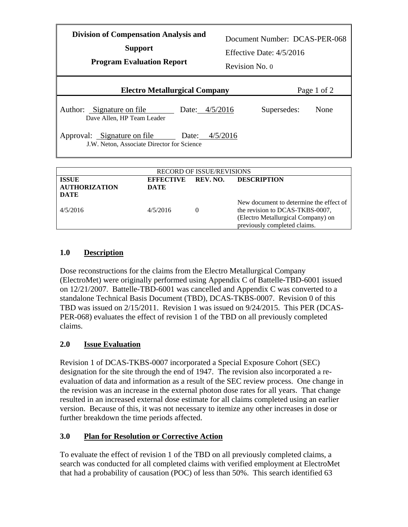| <b>Division of Compensation Analysis and</b><br><b>Support</b><br><b>Program Evaluation Report</b> |                                             |  | Document Number: DCAS-PER-068<br>Effective Date: $4/5/2016$<br>Revision No. 0 |             |  |  |
|----------------------------------------------------------------------------------------------------|---------------------------------------------|--|-------------------------------------------------------------------------------|-------------|--|--|
|                                                                                                    | <b>Electro Metallurgical Company</b>        |  |                                                                               | Page 1 of 2 |  |  |
| Author: Signature on file<br>Dave Allen, HP Team Leader                                            | Date: 4/5/2016                              |  | Supersedes:                                                                   | None        |  |  |
| Approval: Signature on file<br>Date: $4/5/2016$<br>J.W. Neton, Associate Director for Science      |                                             |  |                                                                               |             |  |  |
| <b>RECORD OF ISSUE/REVISIONS</b>                                                                   |                                             |  |                                                                               |             |  |  |
| <b>ISSUE</b><br><b>AUTHORIZATION</b>                                                               | <b>EFFECTIVE</b><br>REV. NO.<br><b>DATE</b> |  | <b>DESCRIPTION</b>                                                            |             |  |  |

| AU HIUNIZATION<br>DATE | <i><u>DA LE</u></i> |                                                                            |
|------------------------|---------------------|----------------------------------------------------------------------------|
| 4/5/2016               | 4/5/2016            | New document to determine the effect of<br>the revision to DCAS-TKBS-0007, |
|                        |                     | (Electro Metallurgical Company) on<br>previously completed claims.         |
|                        |                     |                                                                            |

## **1.0 Description**

Dose reconstructions for the claims from the Electro Metallurgical Company (ElectroMet) were originally performed using Appendix C of Battelle-TBD-6001 issued on 12/21/2007. Battelle-TBD-6001 was cancelled and Appendix C was converted to a standalone Technical Basis Document (TBD), DCAS-TKBS-0007. Revision 0 of this TBD was issued on 2/15/2011. Revision 1 was issued on 9/24/2015. This PER (DCAS-PER-068) evaluates the effect of revision 1 of the TBD on all previously completed claims.

## **2.0 Issue Evaluation**

Revision 1 of DCAS-TKBS-0007 incorporated a Special Exposure Cohort (SEC) designation for the site through the end of 1947. The revision also incorporated a reevaluation of data and information as a result of the SEC review process. One change in the revision was an increase in the external photon dose rates for all years. That change resulted in an increased external dose estimate for all claims completed using an earlier version. Because of this, it was not necessary to itemize any other increases in dose or further breakdown the time periods affected.

## **3.0 Plan for Resolution or Corrective Action**

To evaluate the effect of revision 1 of the TBD on all previously completed claims, a search was conducted for all completed claims with verified employment at ElectroMet that had a probability of causation (POC) of less than 50%. This search identified 63